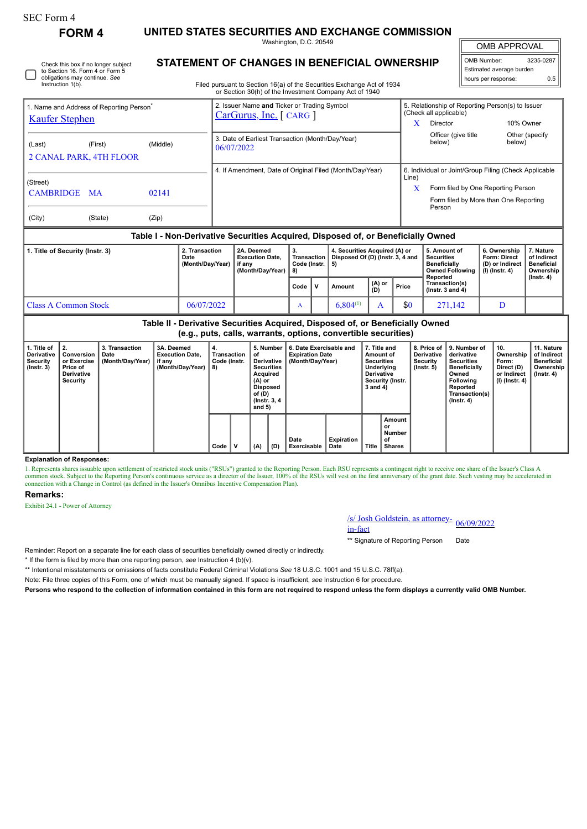## SEC Form 4

**FORM 4 UNITED STATES SECURITIES AND EXCHANGE COMMISSION**

Washington, D.C. 20549

OMB APPROVAL

Ш

| OMB Number:              | 3235-0287 |  |  |  |  |  |  |  |  |
|--------------------------|-----------|--|--|--|--|--|--|--|--|
| Estimated average burden |           |  |  |  |  |  |  |  |  |
| hours per response:      | 0.5       |  |  |  |  |  |  |  |  |

**STATEMENT OF CHANGES IN BENEFICIAL OWNERSHIP**

Filed pursuant to Section 16(a) of the Securities Exchange Act of 1934 or Section 30(h) of the Investment Company Act of 1940

| 1. Name and Address of Reporting Person <sup>®</sup><br><b>Kaufer Stephen</b> |         |          |                | 2. Issuer Name and Ticker or Trading Symbol<br>$CarGurus, Inc.$ [ CARG ] |    |                                                                                  | 5. Relationship of Reporting Person(s) to Issuer<br>(Check all applicable) |                                                                             |              |                 |  |  |
|-------------------------------------------------------------------------------|---------|----------|----------------|--------------------------------------------------------------------------|----|----------------------------------------------------------------------------------|----------------------------------------------------------------------------|-----------------------------------------------------------------------------|--------------|-----------------|--|--|
|                                                                               |         |          |                |                                                                          |    |                                                                                  |                                                                            | Director                                                                    |              | 10% Owner       |  |  |
| (Last)<br><b>2 CANAL PARK, 4TH FLOOR</b>                                      | (First) | (Middle) |                | 3. Date of Earliest Transaction (Month/Day/Year)<br>06/07/2022           |    |                                                                                  |                                                                            | Officer (give title)<br>below)                                              | below)       | Other (specify) |  |  |
|                                                                               |         |          |                |                                                                          |    | 4. If Amendment, Date of Original Filed (Month/Day/Year)                         |                                                                            | 6. Individual or Joint/Group Filing (Check Applicable                       |              |                 |  |  |
| (Street)<br><b>CAMBRIDGE MA</b>                                               |         | 02141    |                |                                                                          |    |                                                                                  | Line)<br>X                                                                 | Form filed by One Reporting Person<br>Form filed by More than One Reporting |              |                 |  |  |
| (City)                                                                        | (State) | (Zip)    |                |                                                                          |    |                                                                                  |                                                                            | Person                                                                      |              |                 |  |  |
|                                                                               |         |          |                |                                                                          |    | Table I - Non-Derivative Securities Acquired, Disposed of, or Beneficially Owned |                                                                            |                                                                             |              |                 |  |  |
| 1. Title of Security (Instr. 3)                                               |         |          | 2. Transaction | 2A. Deemed                                                               | 3. | 4. Securities Acquired (A) or                                                    |                                                                            | 5. Amount of                                                                | 6. Ownership | 7. Nature       |  |  |

| Title of Security (Instr. 3) | 2. Transaction<br>Date<br>(Month/Dav/Year) I if any | 2A. Deemed<br><b>Execution Date.</b><br>(Month/Dav/Year) | -3.<br>Transaction I<br>Code (Instr. $\vert 5 \rangle$<br>l 8) |   | 4. Securities Acquired (A) or<br>Disposed Of (D) (Instr. 3. 4 and |               |       | 5. Amount of<br><b>Securities</b><br><b>Beneficially</b><br>Owned Following   (I) (Instr. 4)<br>Reported | <sup>1</sup> 6. Ownership<br><b>Form: Direct</b><br>(D) or Indirect | l 7. Nature<br>of Indirect<br><b>Beneficial</b><br>Ownership |
|------------------------------|-----------------------------------------------------|----------------------------------------------------------|----------------------------------------------------------------|---|-------------------------------------------------------------------|---------------|-------|----------------------------------------------------------------------------------------------------------|---------------------------------------------------------------------|--------------------------------------------------------------|
|                              |                                                     |                                                          | Code                                                           | v | Amount                                                            | (A) or<br>(D) | Price | Transaction(s)<br>$($ lnstr. 3 and 4 $)$                                                                 |                                                                     | $($ lnstr. 4 $)$                                             |
| l Class A Common Stock       | 06/07/2022                                          |                                                          | A                                                              |   | $6.804^{(1)}$                                                     |               | \$0   | 271.142                                                                                                  |                                                                     |                                                              |

**Table II - Derivative Securities Acquired, Disposed of, or Beneficially Owned (e.g., puts, calls, warrants, options, convertible securities)**

| 1. Title of<br><b>Derivative</b><br>Security<br>$($ lnstr. 3 $)$ | $\mathbf{12}$<br>Conversion<br>or Exercise<br>Price of<br><b>Derivative</b><br>Security | 3. Transaction<br>Date<br>(Month/Day/Year) | 3A. Deemed<br><b>Execution Date,</b><br>if any<br>(Month/Day/Year) | ۰4.<br>Transaction<br>Code (Instr.<br>8) |   | 5. Number<br>οf<br>Derivative  <br><b>Securities</b><br>Acquired<br>$(A)$ or<br><b>Disposed</b><br>of (D)<br>(Instr. 3, 4)<br>and $5)$<br>(A)<br>(D) |  | 6. Date Exercisable and<br><b>Expiration Date</b><br>(Month/Day/Year) | 7. Title and<br>Amount of<br><b>Securities</b><br>Underlying<br><b>Derivative</b><br><b>Security (Instr.</b><br>3 and 4) |       | 8. Price of<br><b>Derivative</b><br>Security<br>$($ lnstr. 5 $)$ | 9. Number of<br>derivative<br><b>Securities</b><br><b>Beneficially</b><br>Owned<br><b>Following</b><br>Reported<br>Transaction(s)<br>(Instr. 4) | 10.<br>Ownership<br>Form:<br>Direct (D)<br>or Indirect<br>(I) (Instr. 4) | 11. Nature<br>of Indirect<br><b>Beneficial</b><br>Ownership<br>(Instr. 4) |  |
|------------------------------------------------------------------|-----------------------------------------------------------------------------------------|--------------------------------------------|--------------------------------------------------------------------|------------------------------------------|---|------------------------------------------------------------------------------------------------------------------------------------------------------|--|-----------------------------------------------------------------------|--------------------------------------------------------------------------------------------------------------------------|-------|------------------------------------------------------------------|-------------------------------------------------------------------------------------------------------------------------------------------------|--------------------------------------------------------------------------|---------------------------------------------------------------------------|--|
|                                                                  |                                                                                         |                                            |                                                                    | Code                                     | v |                                                                                                                                                      |  | Date<br>Exercisable                                                   | Expiration<br>Date                                                                                                       | Title | Amount<br>or<br>Number<br>οf<br><b>Shares</b>                    |                                                                                                                                                 |                                                                          |                                                                           |  |

### **Explanation of Responses:**

1. Represents shares issuable upon settlement of restricted stock units ("RSUs") granted to the Reporting Person. Each RSU represents a contingent right to receive one share of the Issuer's Class A common stock. Subject to connection with a Change in Control (as defined in the Issuer's Omnibus Incentive Compensation Plan).

#### **Remarks:**

Exhibit 24.1 - Power of Attorney

# /s/ Josh Goldstein, as attorney-<br>in-fact

\*\* Signature of Reporting Person Date

Reminder: Report on a separate line for each class of securities beneficially owned directly or indirectly.

\* If the form is filed by more than one reporting person, *see* Instruction 4 (b)(v).

\*\* Intentional misstatements or omissions of facts constitute Federal Criminal Violations *See* 18 U.S.C. 1001 and 15 U.S.C. 78ff(a).

Note: File three copies of this Form, one of which must be manually signed. If space is insufficient, *see* Instruction 6 for procedure.

**Persons who respond to the collection of information contained in this form are not required to respond unless the form displays a currently valid OMB Number.**

Check this box if no longer subject to Section 16. Form 4 or Form 5 obligations may continue. *See* Instruction 1(b).